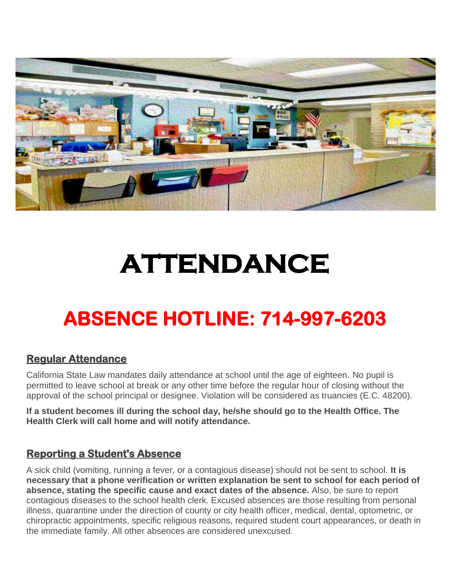

# **ATTENDANCE**

# **ABSENCE HOTLINE: 714-997-6203**

### **Regular Attendance**

California State Law mandates daily attendance at school until the age of eighteen. No pupil is permitted to leave school at break or any other time before the regular hour of closing without the approval of the school principal or designee. Violation will be considered as truancies (E.C. 48200).

**If a student becomes ill during the school day, he/she should go to the Health Office. The Health Clerk will call home and will notify attendance.**

### **Reporting a Student's Absence**

A sick child (vomiting, running a fever, or a contagious disease) should not be sent to school. **It is necessary that a phone verification or written explanation be sent to school for each period of absence, stating the specific cause and exact dates of the absence.** Also, be sure to report contagious diseases to the school health clerk. Excused absences are those resulting from personal illness, quarantine under the direction of county or city health officer, medical, dental, optometric, or chiropractic appointments, specific religious reasons, required student court appearances, or death in the immediate family. All other absences are considered unexcused.